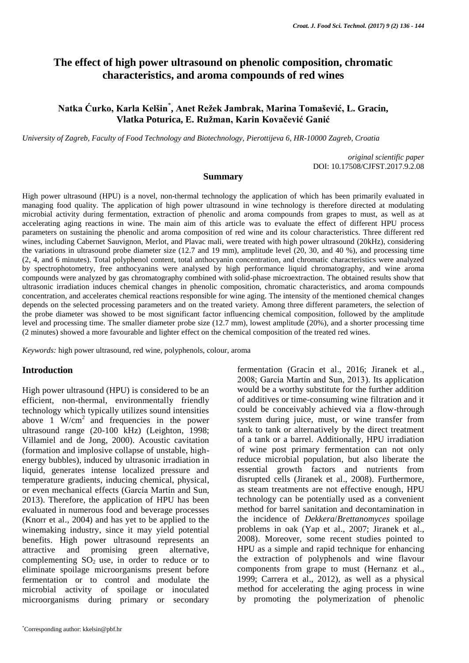# **The effect of high power ultrasound on phenolic composition, chromatic characteristics, and aroma compounds of red wines**

## **Natka Ćurko, Karla Kelšin**\* **, Anet Režek Jambrak, Marina Tomašević, L. Gracin, Vlatka Poturica, E. Ružman, Karin Kovačević Ganić**

*University of Zagreb, Faculty of Food Technology and Biotechnology, Pierottijeva 6, HR-10000 Zagreb, Croatia*

*original scientific paper* DOI: 10.17508/CJFST.2017.9.2.08

#### **Summary**

High power ultrasound (HPU) is a novel, non-thermal technology the application of which has been primarily evaluated in managing food quality. The application of high power ultrasound in wine technology is therefore directed at modulating microbial activity during fermentation, extraction of phenolic and aroma compounds from grapes to must, as well as at accelerating aging reactions in wine. The main aim of this article was to evaluate the effect of different HPU process parameters on sustaining the phenolic and aroma composition of red wine and its colour characteristics. Three different red wines, including Cabernet Sauvignon, Merlot, and Plavac mali, were treated with high power ultrasound (20kHz), considering the variations in ultrasound probe diameter size (12.7 and 19 mm), amplitude level (20, 30, and 40 %), and processing time (2, 4, and 6 minutes). Total polyphenol content, total anthocyanin concentration, and chromatic characteristics were analyzed by spectrophotometry, free anthocyanins were analysed by high performance liquid chromatography, and wine aroma compounds were analyzed by gas chromatography combined with solid-phase microextraction. The obtained results show that ultrasonic irradiation induces chemical changes in phenolic composition, chromatic characteristics, and aroma compounds concentration, and accelerates chemical reactions responsible for wine aging. The intensity of the mentioned chemical changes depends on the selected processing parameters and on the treated variety. Among three different parameters, the selection of the probe diameter was showed to be most significant factor influencing chemical composition, followed by the amplitude level and processing time. The smaller diameter probe size (12.7 mm), lowest amplitude (20%), and a shorter processing time (2 minutes) showed a more favourable and lighter effect on the chemical composition of the treated red wines.

*Keywords:* high power ultrasound, red wine, polyphenols, colour, aroma

#### **Introduction**

High power ultrasound (HPU) is considered to be an efficient, non-thermal, environmentally friendly technology which typically utilizes sound intensities above  $1 \text{ W/cm}^2$  and frequencies in the power ultrasound range (20-100 kHz) (Leighton, 1998; Villamiel and de Jong, 2000). Acoustic cavitation (formation and implosive collapse of unstable, highenergy bubbles), induced by ultrasonic irradiation in liquid, generates intense localized pressure and temperature gradients, inducing chemical, physical, or even mechanical effects (García Martín and Sun, 2013). Therefore, the application of HPU has been evaluated in numerous food and beverage processes (Knorr et al., 2004) and has yet to be applied to the winemaking industry, since it may yield potential benefits. High power ultrasound represents an attractive and promising green alternative, complementing  $SO_2$  use, in order to reduce or to eliminate spoilage microorganisms present before fermentation or to control and modulate the microbial activity of spoilage or inoculated microorganisms during primary or secondary

fermentation (Gracin et al., 2016; Jiranek et al., 2008; García Martín and Sun, 2013). Its application would be a worthy substitute for the further addition of additives or time-consuming wine filtration and it could be conceivably achieved via a flow-through system during juice, must, or wine transfer from tank to tank or alternatively by the direct treatment of a tank or a barrel. Additionally, HPU irradiation of wine post primary fermentation can not only reduce microbial population, but also liberate the essential growth factors and nutrients from disrupted cells (Jiranek et al., 2008). Furthermore, as steam treatments are not effective enough, HPU technology can be potentially used as a convenient method for barrel sanitation and decontamination in the incidence of *Dekkera*/*Brettanomyces* spoilage problems in oak (Yap et al., 2007; Jiranek et al., 2008). Moreover, some recent studies pointed to HPU as a simple and rapid technique for enhancing the extraction of polyphenols and wine flavour components from grape to must (Hernanz et al., 1999; Carrera et al., 2012), as well as a physical method for accelerating the aging process in wine by promoting the polymerization of phenolic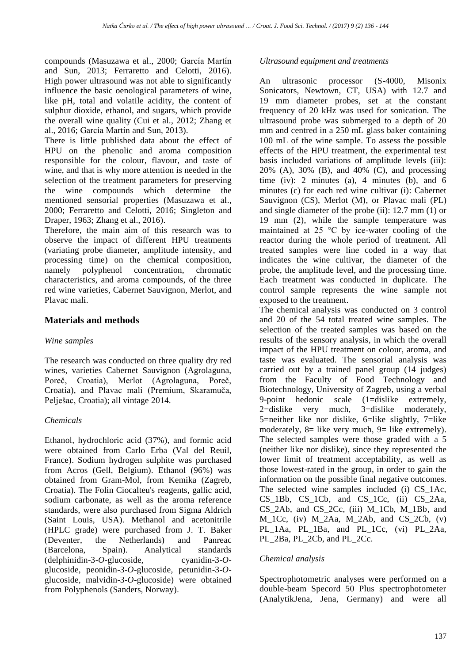compounds (Masuzawa et al., 2000; García Martín and Sun, 2013; Ferraretto and Celotti, 2016). High power ultrasound was not able to significantly influence the basic oenological parameters of wine, like pH, total and volatile acidity, the content of sulphur dioxide, ethanol, and sugars, which provide the overall wine quality (Cui et al., 2012; Zhang et al., 2016; García Martín and Sun, 2013).

There is little published data about the effect of HPU on the phenolic and aroma composition responsible for the colour, flavour, and taste of wine, and that is why more attention is needed in the selection of the treatment parameters for preserving the wine compounds which determine the mentioned sensorial properties (Masuzawa et al., 2000; Ferraretto and Celotti, 2016; Singleton and Draper, 1963; Zhang et al., 2016).

Therefore, the main aim of this research was to observe the impact of different HPU treatments (variating probe diameter, amplitude intensity, and processing time) on the chemical composition, namely polyphenol concentration, chromatic characteristics, and aroma compounds, of the three red wine varieties, Cabernet Sauvignon, Merlot, and Plavac mali.

## **Materials and methods**

### *Wine samples*

The research was conducted on three quality dry red wines, varieties Cabernet Sauvignon (Agrolaguna, Poreč, Croatia), Merlot (Agrolaguna, Poreč, Croatia), and Plavac mali (Premium, Skaramuča, Pelješac, Croatia); all vintage 2014.

### *Chemicals*

Ethanol, hydrochloric acid (37%), and formic acid were obtained from Carlo Erba (Val del Reuil, France). Sodium hydrogen sulphite was purchased from Acros (Gell, Belgium). Ethanol (96%) was obtained from Gram-Mol, from Kemika (Zagreb, Croatia). The Folin Ciocalteu's reagents, gallic acid, sodium carbonate, as well as the aroma reference standards, were also purchased from Sigma Aldrich (Saint Louis, USA). Methanol and acetonitrile (HPLC grade) were purchased from J. T. Baker (Deventer, the Netherlands) and Panreac (Barcelona, Spain). Analytical standards (delphinidin-3-*O*-glucoside, cyanidin-3-*O*glucoside, peonidin-3-*O*-glucoside, petunidin-3-*O*glucoside, malvidin-3-*O*-glucoside) were obtained from Polyphenols (Sanders, Norway).

#### *Ultrasound equipment and treatments*

An ultrasonic processor (S-4000, Misonix Sonicators, Newtown, CT, USA) with 12.7 and 19 mm diameter probes, set at the constant frequency of 20 kHz was used for sonication. The ultrasound probe was submerged to a depth of 20 mm and centred in a 250 mL glass baker containing 100 mL of the wine sample. To assess the possible effects of the HPU treatment, the experimental test basis included variations of amplitude levels (iii): 20% (A), 30% (B), and 40% (C), and processing time (iv): 2 minutes (a), 4 minutes (b), and 6 minutes (c) for each red wine cultivar (i): Cabernet Sauvignon (CS), Merlot (M), or Plavac mali (PL) and single diameter of the probe (ii): 12.7 mm (1) or 19 mm (2), while the sample temperature was maintained at 25 °C by ice-water cooling of the reactor during the whole period of treatment. All treated samples were line coded in a way that indicates the wine cultivar, the diameter of the probe, the amplitude level, and the processing time. Each treatment was conducted in duplicate. The control sample represents the wine sample not exposed to the treatment.

The chemical analysis was conducted on 3 control and 20 of the 54 total treated wine samples. The selection of the treated samples was based on the results of the sensory analysis, in which the overall impact of the HPU treatment on colour, aroma, and taste was evaluated. The sensorial analysis was carried out by a trained panel group (14 judges) from the Faculty of Food Technology and Biotechnology, University of Zagreb, using a verbal 9-point hedonic scale (1=dislike extremely, 2=dislike very much, 3=dislike moderately, 5=neither like nor dislike, 6=like slightly, 7=like moderately, 8= like very much, 9= like extremely). The selected samples were those graded with a 5 (neither like nor dislike), since they represented the lower limit of treatment acceptability, as well as those lowest-rated in the group, in order to gain the information on the possible final negative outcomes. The selected wine samples included (i) CS\_1Ac, CS\_1Bb, CS\_1Cb, and CS\_1Cc, (ii) CS\_2Aa, CS\_2Ab, and CS\_2Cc, (iii) M\_1Cb, M\_1Bb, and M\_1Cc, (iv) M\_2Aa, M\_2Ab, and CS\_2Cb, (v) PL\_1Aa, PL\_1Ba, and PL\_1Cc, (vi) PL\_2Aa, PL\_2Ba, PL\_2Cb, and PL\_2Cc.

### *Chemical analysis*

Spectrophotometric analyses were performed on a double-beam Specord 50 Plus spectrophotometer (AnalytikJena, Jena, Germany) and were all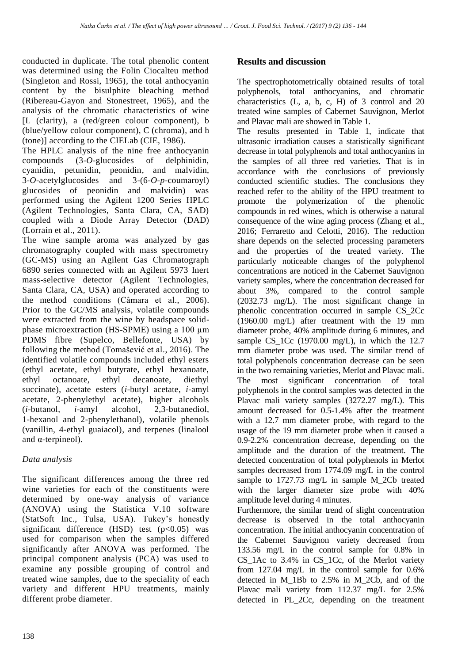conducted in duplicate. The total phenolic content was determined using the Folin Ciocalteu method (Singleton and Rossi, 1965), the total anthocyanin content by the bisulphite bleaching method (Ribereau-Gayon and Stonestreet, 1965), and the analysis of the chromatic characteristics of wine [L (clarity), a (red/green colour component), b (blue/yellow colour component), C (chroma), and h (tone)] according to the CIELab (CIE, 1986).

The HPLC analysis of the nine free anthocyanin compounds (3-*O*-glucosides of delphinidin, cyanidin, petunidin, peonidin, and malvidin, 3-*O*-acetylglucosides and 3-(6-*O-p*-coumaroyl) glucosides of peonidin and malvidin) was performed using the Agilent 1200 Series HPLC (Agilent Technologies, Santa Clara, CA, SAD) coupled with a Diode Array Detector (DAD) (Lorrain et al., 2011).

The wine sample aroma was analyzed by gas chromatography coupled with mass spectrometry (GC-MS) using an Agilent Gas Chromatograph 6890 series connected with an Agilent 5973 Inert mass-selective detector (Agilent Technologies, Santa Clara, CA, USA) and operated according to the method conditions (Câmara et al., 2006). Prior to the GC/MS analysis, volatile compounds were extracted from the wine by headspace solidphase microextraction (HS-SPME) using a 100  $\mu$ m PDMS fibre (Supelco, Bellefonte, USA) by following the method (Tomašević et al., 2016). The identified volatile compounds included ethyl esters (ethyl acetate, ethyl butyrate, ethyl hexanoate, ethyl octanoate, ethyl decanoate, diethyl succinate), acetate esters (*i*-butyl acetate, *i*-amyl acetate, 2-phenylethyl acetate), higher alcohols (*i*-butanol, *i*-amyl alcohol, 2,3-butanediol, 1-hexanol and 2-phenylethanol), volatile phenols (vanillin, 4-ethyl guaiacol), and terpenes (linalool and  $\alpha$ -terpineol).

# *Data analysis*

The significant differences among the three red wine varieties for each of the constituents were determined by one-way analysis of variance (ANOVA) using the Statistica V.10 software (StatSoft Inc., Tulsa, USA). Tukey's honestly significant difference (HSD) test  $(p<0.05)$  was used for comparison when the samples differed significantly after ANOVA was performed. The principal component analysis (PCA) was used to examine any possible grouping of control and treated wine samples, due to the speciality of each variety and different HPU treatments, mainly different probe diameter.

# **Results and discussion**

The spectrophotometrically obtained results of total polyphenols, total anthocyanins, and chromatic characteristics (L, a, b, c, H) of 3 control and 20 treated wine samples of Cabernet Sauvignon, Merlot and Plavac mali are showed in Table 1.

The results presented in Table 1, indicate that ultrasonic irradiation causes a statistically significant decrease in total polyphenols and total anthocyanins in the samples of all three red varieties. That is in accordance with the conclusions of previously conducted scientific studies. The conclusions they reached refer to the ability of the HPU treatment to promote the polymerization of the phenolic compounds in red wines, which is otherwise a natural consequence of the wine aging process (Zhang et al., 2016; Ferraretto and Celotti, 2016). The reduction share depends on the selected processing parameters and the properties of the treated variety. The particularly noticeable changes of the polyphenol concentrations are noticed in the Cabernet Sauvignon variety samples, where the concentration decreased for about 3%, compared to the control sample (2032.73 mg/L). The most significant change in phenolic concentration occurred in sample CS\_2Cc (1960.00 mg/L) after treatment with the 19 mm diameter probe, 40% amplitude during 6 minutes, and sample CS 1Cc (1970.00 mg/L), in which the  $12.7$ mm diameter probe was used. The similar trend of total polyphenols concentration decrease can be seen in the two remaining varieties, Merlot and Plavac mali. The most significant concentration of total polyphenols in the control samples was detected in the Plavac mali variety samples (3272.27 mg/L). This amount decreased for 0.5-1.4% after the treatment with a 12.7 mm diameter probe, with regard to the usage of the 19 mm diameter probe when it caused a 0.9-2.2% concentration decrease, depending on the amplitude and the duration of the treatment. The detected concentration of total polyphenols in Merlot samples decreased from 1774.09 mg/L in the control sample to 1727.73 mg/L in sample M 2Cb treated with the larger diameter size probe with 40% amplitude level during 4 minutes.

Furthermore, the similar trend of slight concentration decrease is observed in the total anthocyanin concentration. The initial anthocyanin concentration of the Cabernet Sauvignon variety decreased from 133.56 mg/L in the control sample for 0.8% in CS\_1Ac to 3.4% in CS\_1Cc, of the Merlot variety from 127.04 mg/L in the control sample for 0.6% detected in M\_1Bb to 2.5% in M\_2Cb, and of the Plavac mali variety from 112.37 mg/L for 2.5% detected in PL\_2Cc, depending on the treatment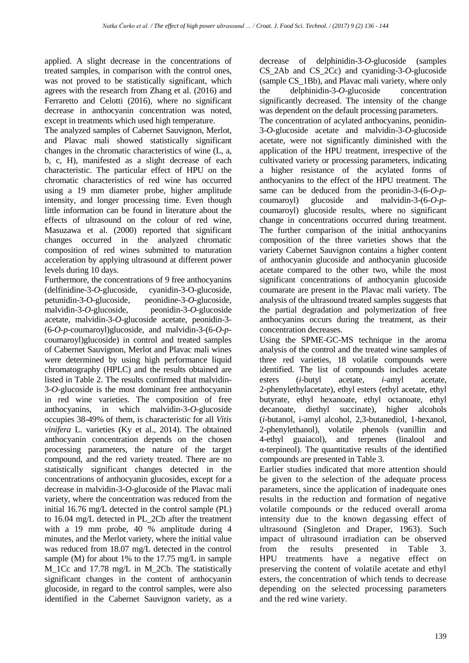applied. A slight decrease in the concentrations of treated samples, in comparison with the control ones, was not proved to be statistically significant, which agrees with the research from Zhang et al. (2016) and Ferraretto and Celotti (2016), where no significant decrease in anthocyanin concentration was noted, except in treatments which used high temperature.

The analyzed samples of Cabernet Sauvignon, Merlot, and Plavac mali showed statistically significant changes in the chromatic characteristics of wine (L, a, b, c, H), manifested as a slight decrease of each characteristic. The particular effect of HPU on the chromatic characteristics of red wine has occurred using a 19 mm diameter probe, higher amplitude intensity, and longer processing time. Even though little information can be found in literature about the effects of ultrasound on the colour of red wine, Masuzawa et al. (2000) reported that significant changes occurred in the analyzed chromatic composition of red wines submitted to maturation acceleration by applying ultrasound at different power levels during 10 days.

Furthermore, the concentrations of 9 free anthocyanins (delfinidine-3-*O*-glucoside, cyanidin-3-O-glucoside, petunidin-3-O-glucoside, peonidine-3-*O*-glucoside, malvidin-3-*O*-glucoside, peonidin-3-*O*-glucoside acetate, malvidin-3-*O*-glucoside acetate, peonidin-3- (6-*O-p*-coumaroyl)glucoside, and malvidin-3-(6-*O*-*p*coumaroyl)glucoside) in control and treated samples of Cabernet Sauvignon, Merlot and Plavac mali wines were determined by using high performance liquid chromatography (HPLC) and the results obtained are listed in Table 2. The results confirmed that malvidin-3-*O*-glucoside is the most dominant free anthocyanin in red wine varieties. The composition of free anthocyanins, in which malvidin-3-*O*-glucoside occupies 38-49% of them, is characteristic for all *Vitis vinifera* L. varieties (Ky et al., 2014). The obtained anthocyanin concentration depends on the chosen processing parameters, the nature of the target compound, and the red variety treated. There are no statistically significant changes detected in the concentrations of anthocyanin glucosides, except for a decrease in malvidin-3-*O*-glucoside of the Plavac mali variety, where the concentration was reduced from the initial 16.76 mg/L detected in the control sample (PL) to 16.04 mg/L detected in PL\_2Cb after the treatment with a 19 mm probe, 40 % amplitude during 4 minutes, and the Merlot variety, where the initial value was reduced from 18.07 mg/L detected in the control sample (M) for about 1% to the 17.75 mg/L in sample M 1Cc and 17.78 mg/L in M 2Cb. The statistically significant changes in the content of anthocyanin glucoside, in regard to the control samples, were also identified in the Cabernet Sauvignon variety, as a decrease of delphinidin-3-*O*-glucoside (samples CS\_2Ab and CS\_2Cc) and cyaniding-3-*O*-glucoside (sample CS\_1Bb), and Plavac mali variety, where only the delphinidin-3-*O*-glucoside concentration significantly decreased. The intensity of the change was dependent on the default processing parameters.

The concentration of acylated anthocyanins, peonidin-3-*O*-glucoside acetate and malvidin-3-*O*-glucoside acetate, were not significantly diminished with the application of the HPU treatment, irrespective of the cultivated variety or processing parameters, indicating a higher resistance of the acylated forms of anthocyanins to the effect of the HPU treatment. The same can be deduced from the peonidin-3-(6-*O-p*coumaroyl) glucoside and malvidin-3-(6-*O*-*p*coumaroyl) glucoside results, where no significant change in concentrations occurred during treatment. The further comparison of the initial anthocyanins composition of the three varieties shows that the variety Cabernet Sauvignon contains a higher content of anthocyanin glucoside and anthocyanin glucoside acetate compared to the other two, while the most significant concentrations of anthocyanin glucoside coumarate are present in the Plavac mali variety. The analysis of the ultrasound treated samples suggests that the partial degradation and polymerization of free anthocyanins occurs during the treatment, as their concentration decreases.

Using the SPME-GC-MS technique in the aroma analysis of the control and the treated wine samples of three red varieties, 18 volatile compounds were identified. The list of compounds includes acetate esters (*i*-butyl acetate, *i*-amyl acetate, 2-phenylethylacetate), ethyl esters (ethyl acetate, ethyl butyrate, ethyl hexanoate, ethyl octanoate, ethyl decanoate, diethyl succinate), higher alcohols (*i*-butanol, i-amyl alcohol, 2,3-butanediol, 1-hexanol, 2-phenylethanol), volatile phenols (vanillin and 4-ethyl guaiacol), and terpenes (linalool and α-terpineol). The quantitative results of the identified compounds are presented in Table 3.

Earlier studies indicated that more attention should be given to the selection of the adequate process parameters, since the application of inadequate ones results in the reduction and formation of negative volatile compounds or the reduced overall aroma intensity due to the known degassing effect of ultrasound (Singleton and Draper, 1963). Such impact of ultrasound irradiation can be observed from the results presented in Table 3. HPU treatments have a negative effect on preserving the content of volatile acetate and ethyl esters, the concentration of which tends to decrease depending on the selected processing parameters and the red wine variety.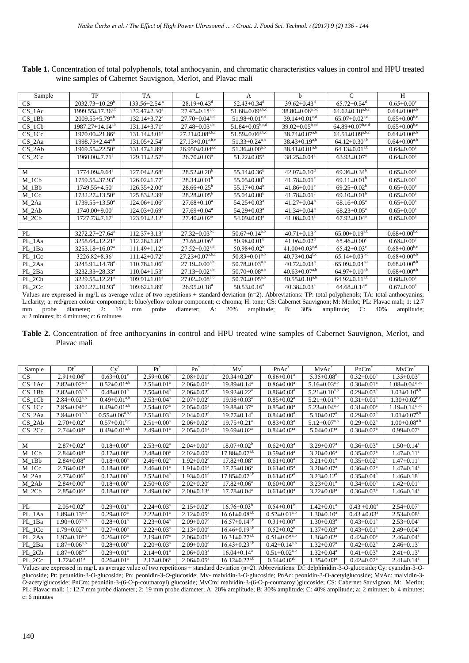| Sample     | TP                               | <b>TA</b>                      | $\mathbf{I}$ .                    | A                                             | h                                   | $\mathcal{C}$                     | H                                |
|------------|----------------------------------|--------------------------------|-----------------------------------|-----------------------------------------------|-------------------------------------|-----------------------------------|----------------------------------|
| <b>CS</b>  | $2032.73 \pm 10.29^b$            | $133.56 \pm 2.54$ <sup>a</sup> | $28.19 \pm 0.43$ <sup>d</sup>     | $52.43 \pm 0.34$ <sup>d</sup>                 | $39.62 \pm 0.43$ <sup>d</sup>       | $65.72 \pm 0.54$ <sup>d</sup>     | $0.65 \pm 0.00$ <sup>c</sup>     |
| $CS_1Ac$   | $1999.55 \pm 17.36^{a,b}$        | $132.47 \pm 2.30^a$            | $27.42 \pm 0.15^{a,b}$            | $51.68 \pm 0.09^{\text{a},\text{b},\text{c}}$ | $38.80 \pm 0.06^{a,\overline{b,c}}$ | $64.62 \pm 0.10^{a,b,c}$          | $0.64 \pm 0.00^{a,b}$            |
| $CS_1Bb$   | $2009.55 \pm 5.79^{a,b}$         | $132.14 \pm 3.72^a$            | $27.70 \pm 0.04^{b,d}$            | $51.98 \pm 0.01$ <sup>c,d</sup>               | $39.14 \pm 0.01$ <sup>c,d</sup>     | $65.07 \pm 0.02$ <sup>c,d</sup>   | $0.65 \pm 0.00^{b,c}$            |
| $CS_1Cb$   | $1987.27 \pm 14.14^{a,b}$        | $131.14 \pm 3.71$ <sup>a</sup> | $27.48 \pm 0.03^{a,b}$            | $51.84 \pm 0.05^{b,c,d}$                      | $39.02 \pm 0.05^{b,c,d}$            | $64.89 \pm 0.07^{b,c,d}$          | $0.65 \pm 0.00$ <sup>b,c</sup>   |
| $CS_1Cc$   | $1970.00\pm21.86^a$              | $131.14 \pm 3.01^a$            | $27.21 \pm 0.08^{a,b,c}$          | $51.59 \pm 0.06^{a,b,c}$                      | $38.74 \pm 0.07^{a,b}$              | $64.51 \pm 0.09^{a,b,c}$          | $0.64 \pm 0.00^{a,b}$            |
| $CS_2Aa$   | $1998.73 \pm 2.44^{a,b}$         | $131.05 \pm 2.54$ <sup>a</sup> | $27.13 \pm 0.01^{a,b,c}$          | $51.33 \pm 0.24^{a,b}$                        | $38.\overline{43\pm 0.19}^{a,b}$    | $64.12 \pm 0.30^{a,b}$            | $0.64 \pm 0.00^{a,b}$            |
| $CS_2Ab$   | $1969.55 \pm 22.50^a$            | $131.47 \pm 1.89^a$            | $26.950\pm0.04^{\text{a,c}}$      | $51.36\pm0.00^{a,b}$                          | $38.41 \pm 0.01^{a,b}$              | $64.13 \pm 0.01^{a,b}$            | $0.64 \pm 0.00^a$                |
| $CS_2Cc$   | $1960.00 \pm 7.71$ <sup>a</sup>  | $129.11 \pm 2.57$ <sup>a</sup> | $26.70 \pm 0.03$ <sup>a</sup>     | $51.22 \pm 0.05^{\text{a}}$                   | $38.25 \pm 0.04^a$                  | $63.93 \pm 0.07^{\text{a}}$       | $0.64 \pm 0.00^a$                |
|            |                                  |                                |                                   |                                               |                                     |                                   |                                  |
| M          | $1774.09 \pm 9.64$ <sup>a</sup>  | $127.04 \pm 2.68^a$            | $28.52 \pm 0.20^b$                | $55.14 \pm 0.36^b$                            | $42.07 \pm 0.10$ <sup>d</sup>       | $69.36 \pm 0.34^b$                | $0.65 \pm 0.00^a$                |
| $M_1CD$    | $1759.55 \pm 37.93^{\text{a}}$   | $126.02 \pm 1.77$ <sup>a</sup> | $28.34 \pm 0.01^b$                | $55.05 \pm 0.00^{\rm b}$                      | $41.78 \pm 0.01$ <sup>c</sup>       | 69.11 $\pm$ 0.01 <sup>b</sup>     | $0.65 \pm 0.00^a$                |
| $M_1$ Bb   | $1749.55 \pm 4.50^{\circ}$       | $126.35 \pm 2.00^{\circ}$      | $28.66 \pm 0.25^{\circ}$          | $55.17 \pm 0.04^b$                            | 41.86 $\pm$ 0.01 <sup>c</sup>       | $69.25 \pm 0.02^b$                | $0.65 \pm 0.00^a$                |
| $M_{1}$ Cc | $1732.27 \pm 13.50^a$            | $125.83 \pm 2.39^a$            | $28.28 \pm 0.05^{\rm b}$          | $55.04 \pm 0.00^{\rm b}$                      | $41.78 \pm 0.01$ <sup>c</sup>       | 69.10 $\pm$ 0.01 <sup>b</sup>     | $0.65 \pm 0.00^a$                |
| $M_2Aa$    | $1739.55 \pm 13.50^a$            | $124.06 \pm 1.06^a$            | $27.68 \pm 0.10^a$                | $54.25 \pm 0.03^{\text{a}}$                   | $41.27 \pm 0.04^b$                  | $68.16 \pm 0.05^{\text{a}}$       | $0.65 \pm 0.00^a$                |
| $M_2Ab$    | $1740.00\pm9.00^a$               | $124.03 \pm 0.69^{\circ}$      | $27.69 \pm 0.04^{\text{a}}$       | $54.29 \pm 0.03^{\text{a}}$                   | $41.34 \pm 0.04^b$                  | $68.23 \pm 0.05^{\text{a}}$       | $0.65 \pm 0.00^a$                |
| $M_2Cb$    | $1727.73 \pm 7.17^{\mathrm{a}}$  | $123.91 \pm 2.12^a$            | $27.40 \pm 0.02^{\text{a}}$       | $54.09 \pm 0.03$ <sup>a</sup>                 | $41.08 \pm 0.03$ <sup>a</sup>       | $67.92 \pm 0.04^{\text{a}}$       | $0.65 \pm 0.00^{\rm a}$          |
|            |                                  |                                |                                   |                                               |                                     |                                   |                                  |
| PL         | $3272.27 \pm 27.64^a$            | $112.37\pm3.13^a$              | $27.32 \pm 0.03^{b.c}$            | $50.67 \pm 0.14^{a,b}$                        | $40.71 \pm 0.13^b$                  | $65.00 \pm 0.19^{a,b}$            | $0.68 \pm 0.00^{b,c}$            |
| PL 1Aa     | $3258.64 \pm 12.21$ <sup>a</sup> | $112.28 \pm 1.82^a$            | $27.66 \pm 0.06$ <sup>d</sup>     | $50.98 \pm 0.01^{\rm b}$                      | $41.06 \pm 0.02$ <sup>d</sup>       | $65.46 \pm 0.00$ <sup>c</sup>     | $0.68 \pm 0.00$ <sup>c</sup>     |
| PL 1Ba     | $3253.18 \pm 16.07^a$            | $111.49 \pm 1.12^a$            | $27.52 \pm 0.02^{\overline{c,d}}$ | 50.98 $\pm$ 0.02 <sup>b</sup>                 | 41.00 $\pm$ 0.03 <sup>c,d</sup>     | $65.42 \pm 0.03$ <sup>c</sup>     | $0.68 \pm 0.00$ <sub>b,c</sub>   |
| PL_1Cc     | $3226.82 \pm 8.36^a$             | $111.42 \pm 0.72$ <sup>a</sup> | $27.23 \pm 0.07^{\text{a,b,c}}$   | $50.83 \pm 0.01^{a,b}$                        | $40.73 \pm 0.04^{\rm b,c}$          | $65.14 \pm 0.03$ <sup>b,c</sup>   | $0.68 \pm 0.00^{\overline{a,b}}$ |
| PL 2Aa     | $3245.91 \pm 14.78$ <sup>a</sup> | $110.78 \pm 1.06^a$            | $27.19 \pm 0.00^{a,b}$            | $50.78 \pm 0.03^{a,b}$                        | $40.72 \pm 0.03^{\circ}$            | $65.09 \pm 0.04$ <sub>b,c</sub>   | $0.68 \pm 0.00^{a,b}$            |
| PL 2Ba     | $3232.33 \pm 28.33^{\circ}$      | $110.04 \pm 1.53$ <sup>a</sup> | $27.13 \pm 0.02^{a,b}$            | $50.70 \pm 0.08^{a,b}$                        | $40.63 \pm 0.07^{\overline{a,b}}$   | $64.97 \pm 0.10^{a,b}$            | $0.68 \pm 0.00^{a,b}$            |
| PL_2Cb     | 3229.55±12.21 <sup>a</sup>       | $109.91 \pm 1.01^a$            | $27.02 \pm 0.08^{a,b}$            | $50.70 \pm 0.05^{a,b}$                        | $40.55 \pm 0.10^{a,b}$              | $64.92 \pm 0.11^{\overline{a,b}}$ | $0.68 \pm 0.00^a$                |
| PL_2Cc     | $3202.27 \pm 10.93$ <sup>a</sup> | $109.62 \pm 1.89^a$            | $26.95 \pm 0.18$ <sup>a</sup>     | $50.53 \pm 0.16^a$                            | $40.38 \pm 0.03$ <sup>a</sup>       | $64.68 \pm 0.14$ <sup>a</sup>     | $0.67 \pm 0.00^a$                |

**Table 1.** Concentration of total polyphenols, total anthocyanin, and chromatic characteristics values in control and HPU treated wine samples of Cabernet Sauvignon, Merlot, and Plavac mali

Values are expressed in mg/L as average value of two repetitions ± standard deviation (n=2). Abbreviations: TP: total polyphenols; TA: total anthocyanins; L:clarity; a: red/green colour component; b: blue/yellow colour component; c: chroma; H: tone; CS: Cabernet Sauvignon; M: Merlot; PL: Plavac mali; 1: 12.7 mm probe diameter; 2: 19 mm probe diameter; A: 20% amplitude; B: 30 mm probe diameter; 2: 19 mm probe diameter; A: 20% amplitude; B: 30% amplitude; C: 40% amplitude; a: 2 minutes; b: 4 minutes; c: 6 minutes

**Table 2.** Concentration of free anthocyanins in control and HPU treated wine samples of Cabernet Sauvignon, Merlot, and Plavac mali

| Sample                                                                                                                                                         | $\mathrm{Df}^*$                | $Cv^*$                           | $Pr^*$                       | $Pn^*$                       | $Mv^*$                        | $PnAc^*$                         | $MvAc^*$                     | $PnCm$ <sup>*</sup>          | $MvCm^*$                                     |  |
|----------------------------------------------------------------------------------------------------------------------------------------------------------------|--------------------------------|----------------------------------|------------------------------|------------------------------|-------------------------------|----------------------------------|------------------------------|------------------------------|----------------------------------------------|--|
| CS                                                                                                                                                             | $2.91 \pm 0.06^b$              | $0.63 \pm 0.01$ <sup>c</sup>     | $2.59 \pm 0.06^a$            | $2.08 \pm 0.01$ <sup>a</sup> | $20.34 \pm 0.20^a$            | $0.86 \pm 0.01^a$                | $5.35 \pm 0.08^b$            | $0.32 \pm 0.00^a$            | $1.35 \pm 0.03^c$                            |  |
| CS 1Ac                                                                                                                                                         | $2.82 \pm 0.02$ <sup>a,b</sup> | $0.52 \pm 0.01^{\overline{a,b}}$ | $2.51 \pm 0.01^a$            | $2.06 \pm 0.01^a$            | $19.89 \pm 0.14$ <sup>a</sup> | $0.86 \pm 0.00^a$                | $5.16 \pm 0.03^{a,b}$        | $0.30 \pm 0.01$ <sup>a</sup> | $1.08 \pm 0.04^{\text{a},\text{b},\text{c}}$ |  |
| $CS$ 1Bb                                                                                                                                                       | $2.82 \pm 0.03^{a,b}$          | $0.48 \pm 0.01$ <sup>a</sup>     | $2.50 \pm 0.04^a$            | $2.06 \pm 0.02^a$            | $19.92 \pm 0.22^a$            | $0.86 \pm 0.03^{\circ}$          | $5.21 \pm 0.10^{a,b}$        | $0.29 \pm 0.03^{\text{a}}$   | $1.03 \pm 0.10^{a,b}$                        |  |
| CS 1Cb                                                                                                                                                         | $2.84 \pm 0.02^{a,b}$          | $0.49 \pm 0.01^{a,b}$            | $2.53 \pm 0.04^a$            | $2.07 \pm 0.02^a$            | $19.98 \pm 0.03^{\text{a}}$   | $0.85 \pm 0.02^a$                | $5.21 \pm 0.01^{a,b}$        | $0.31 \pm 0.01^a$            | $1.30 \pm 0.02^{b,c}$                        |  |
| CS 1Cc                                                                                                                                                         | $2.85 \pm 0.04^{a,b}$          | $0.49 \pm 0.01^{a,b}$            | $2.54 \pm 0.02^a$            | $2.05 \pm 0.06^{\circ}$      | $19.88 \pm 0.37$ <sup>a</sup> | $0.85 \pm 0.00^a$                | $5.23 \pm 0.04^{a,b}$        | $0.31 \pm 0.00^a$            | $1.19 \pm 0.14^{a,b,c}$                      |  |
| $CS_2Aa$                                                                                                                                                       | $2.84 \pm 0.01^{a,b}$          | $0.55 \pm 0.06^{a,b,c}$          | $2.51 \pm 0.03^a$            | $2.04 \pm 0.02^a$            | $19.77 \pm 0.14^a$            | $0.84 \pm 0.00^a$                | $5.10 \pm 0.07$ <sup>a</sup> | $0.29 \pm 0.02^a$            | $1.01 \pm 0.07^{a,b}$                        |  |
| $CS_2Ab$                                                                                                                                                       | $2.70 \pm 0.02^a$              | $0.57 \pm 0.01$ <sup>b,c</sup>   | $2.51 \pm 0.00^a$            | $2.06 \pm 0.02^a$            | $19.75 \pm 0.21$ <sup>a</sup> | $0.83 \pm 0.03^a$                | $5.12 \pm 0.07^{a,b}$        | $0.29 \pm 0.02^a$            | $1.00 \pm 0.08$ <sup>a,b</sup>               |  |
| CS 2Cc                                                                                                                                                         | $2.74 \pm 0.08$ <sup>a</sup>   | $0.49 \pm 0.01^{a,b}$            | $2.49 \pm 0.01^a$            | $2.05 \pm 0.01^a$            | $19.69 \pm 0.02^a$            | $0.84 \pm 0.02^a$                | $5.04 \pm 0.02$ <sup>a</sup> | $0.30 \pm 0.02^a$            | $0.99 \pm 0.07^{\text{a}}$                   |  |
|                                                                                                                                                                |                                |                                  |                              |                              |                               |                                  |                              |                              |                                              |  |
| M                                                                                                                                                              | $2.87 \pm 0.02^a$              | $0.18 \pm 0.00^a$                | $2.53 \pm 0.02^a$            | $2.04 \pm 0.00^a$            | $18.07 \pm 0.02^b$            | $0.62 \pm 0.03^a$                | $3.29 \pm 0.07$ <sup>a</sup> | $0.36 \pm 0.03^a$            | $1.50 \pm 0.14$ <sup>a</sup>                 |  |
| $M_1Cb$                                                                                                                                                        | $2.84 \pm 0.08$ <sup>a</sup>   | $0.17 \pm 0.00^a$                | $2.48 \pm 0.00^a$            | $2.02 \pm 0.00^a$            | $17.88 \pm 0.07^{a,b}$        | $0.59 \pm 0.04$ <sup>a</sup>     | $3.20 \pm 0.06^a$            | $0.35 \pm 0.02^a$            | $1.47 \pm 0.11^a$                            |  |
| $M_1$ Bb                                                                                                                                                       | $2.84 \pm 0.08$ <sup>a</sup>   | $0.18 \pm 0.00^a$                | $2.46 \pm 0.02^a$            | $1.92 \pm 0.02^a$            | $17.82 \pm 0.08^a$            | $0.61 \pm 0.00^a$                | $3.21 \pm 0.01^a$            | $0.35 \pm 0.02^a$            | $1.47 \pm 0.11$ <sup>a</sup>                 |  |
| M 1Cc                                                                                                                                                          | $2.76 \pm 0.03^a$              | $0.18 \pm 0.00^a$                | $2.46 \pm 0.01$ <sup>a</sup> | $1.91 \pm 0.01^a$            | $17.75 \pm 0.06^a$            | $0.61 \pm 0.05^{\text{a}}$       | $3.20 \pm 0.07$ <sup>a</sup> | $0.36 \pm 0.02^a$            | $1.47 \pm 0.14$ <sup>a</sup>                 |  |
| M 2Aa                                                                                                                                                          | $2.77 \pm 0.06^{\circ}$        | $0.17 \pm 0.00^a$                | $2.52 \pm 0.04^a$            | $1.93 \pm 0.01^a$            | $17.85 \pm 0.07^{a,b}$        | $0.61 \pm 0.02^{\text{a}}$       | $3.23 \pm 0.12^a$            | $0.35 \pm 0.04^a$            | $1.46 \pm 0.18^a$                            |  |
| $M_2Ab$                                                                                                                                                        | $2.84 \pm 0.00^a$              | $0.18 \pm 0.00^a$                | $2.50 \pm 0.03^{\text{a}}$   | $2.02 \pm 0.20^a$            | $17.82 \pm 0.06^a$            | $0.60 \pm 0.00^a$                | $3.23 \pm 0.01^a$            | $0.34 \pm 0.00^a$            | $1.42 \pm 0.01^a$                            |  |
| $M_2Cb$                                                                                                                                                        | $2.85 \pm 0.06^a$              | $0.18 \pm 0.00^a$                | $2.49 \pm 0.06^a$            | $2.00 \pm 0.13^a$            | $17.78 \pm 0.04^{\text{a}}$   | $0.61 \pm 0.00^a$                | $3.22 \pm 0.08^a$            | $0.36 \pm 0.03^{\text{a}}$   | $1.46 \pm 0.14$ <sup>a</sup>                 |  |
|                                                                                                                                                                |                                |                                  |                              |                              |                               |                                  |                              |                              |                                              |  |
| PL                                                                                                                                                             | $2.05 \pm 0.02^b$              | $0.29 \pm 0.01^a$                | $2.24 \pm 0.03^a$            | $2.15 \pm 0.02^a$            | $16.76 \pm 0.03^b$            | $0.54 \pm 0.01^{\circ}$          | $1.42 \pm 0.01^a$            | $0.43 \pm 0.00^a$            | $2.54 \pm 0.07$ <sup>a</sup>                 |  |
| PL_1Aa                                                                                                                                                         | $1.89 \pm 0.13^{a,b}$          | $0.29 \pm 0.02^a$                | $2.22 \pm 0.01^a$            | $2.12 \pm 0.05^{\text{a}}$   | $16.61 \pm 0.08^{a,b}$        | $0.52 \pm 0.01^{\overline{a,b}}$ | $1.30 \pm 0.10^a$            | $0.43 \pm 0.03^{\circ}$      | $2.53 \pm 0.08^a$                            |  |
| PL_1Ba                                                                                                                                                         | $1.90 \pm 0.07^{a,b}$          | $0.28 \pm 0.01^a$                | $2.23 \pm 0.04^a$            | $2.09 \pm 0.07$ <sup>a</sup> | $16.57 \pm 0.14^{a,b}$        | $0.31 \pm 0.00^a$                | $1.30 \pm 0.03^{\text{a}}$   | $0.43 \pm 0.01^a$            | $2.53 \pm 0.04^a$                            |  |
| PL 1Cc                                                                                                                                                         | $1.79 \pm 0.02^{a,b}$          | $0.27 \pm 0.00^a$                | $2.22 \pm 0.03^{\text{a}}$   | $2.13 \pm 0.00^a$            | $16.46 \pm 0.19^{a,b}$        | $0.52 \pm 0.02^b$                | $1.37 \pm 0.03^a$            | $0.43 \pm 0.01^a$            | $2.49 \pm 0.04^a$                            |  |
| PL_2Aa                                                                                                                                                         | $1.97 \pm 0.10^{a,b}$          | $0.26 \pm 0.02^a$                | $2.19 \pm 0.07$ <sup>a</sup> | $2.06 \pm 0.01$ <sup>a</sup> | $16.31 \pm 0.27^{a,b}$        | $0.51 \pm 0.05^{a,b}$            | $1.36 \pm 0.02^a$            | $0.42 \pm 0.00^a$            | $2.46 \pm 0.04$ <sup>a</sup>                 |  |
| PL 2Ba                                                                                                                                                         | $1.87 \pm 0.06^{a,b}$          | $0.28 \pm 0.00^a$                | $2.20 \pm 0.03^{\text{a}}$   | $2.09 \pm 0.00^a$            | $16.43 \pm 0.23^{a,b}$        | $0.42 \pm 0.14^{a,b}$            | $1.32 \pm 0.07^{\rm a}$      | $0.42 \pm 0.02^{\text{a}}$   | $2.46 \pm 0.13^a$                            |  |
| PL_2Cb                                                                                                                                                         | $1.87 \pm 0.08^{a,b}$          | $0.29 \pm 0.01^a$                | $2.14 \pm 0.01^a$            | $2.06 \pm 0.03^{\text{a}}$   | $16.04 \pm 0.14$ <sup>a</sup> | $0.51 \pm 0.02$ <sup>a,b</sup>   | $1.32 \pm 0.04^a$            | $0.41 \pm 0.03^{\text{a}}$   | $2.41 \pm 0.13^a$                            |  |
| PL_2Cc                                                                                                                                                         | $1.72 \pm 0.01^a$              | $0.26 \pm 0.01^a$                | $2.17 \pm 0.06^a$            | $2.06 \pm 0.05^{\text{a}}$   | $16.12 \pm 0.22^{a,b}$        | $0.54 \pm 0.02^b$                | $1.35 \pm 0.03^{\text{a}}$   | $0.42 \pm 0.02^a$            | $2.41 \pm 0.14$ <sup>a</sup>                 |  |
| Volume are sympaced in mall, as expresses value of two nonetitions (established deviation (n=2). Abbreviations: Dfi delphinidin 2.0 olugarides Cynosysidia 2.0 |                                |                                  |                              |                              |                               |                                  |                              |                              |                                              |  |

Values are expressed in mg/L as average value of two repetitions ± standard deviation (n=2). Abbreviations: Df: delphinidin-3-*O*-glucoside; Cy: cyanidin-3-*O*glucoside; Pt: petunidin-3-*O*-glucoside; Pn: peonidin-3-*O*-glucoside; Mv- malvidin-3-*O*-glucoside; PnAc: peonidin-3-O-acetylglucoside; MvAc: malvidin-3- *O*-acetylglucoside; PnCm: peonidin-3-(6-O-p-coumaroyl) glucoside; MvCm: malvidin-3-(6-O-p-coumaroyl)glucoside; CS: Cabernet Sauvignon; M: Merlot; PL: Plavac mali; 1: 12.7 mm probe diameter; 2: 19 mm probe diameter; A: 20% amplitude; B: 30% amplitude; C: 40% amplitude; a: 2 minutes; b: 4 minutes; c: 6 minutes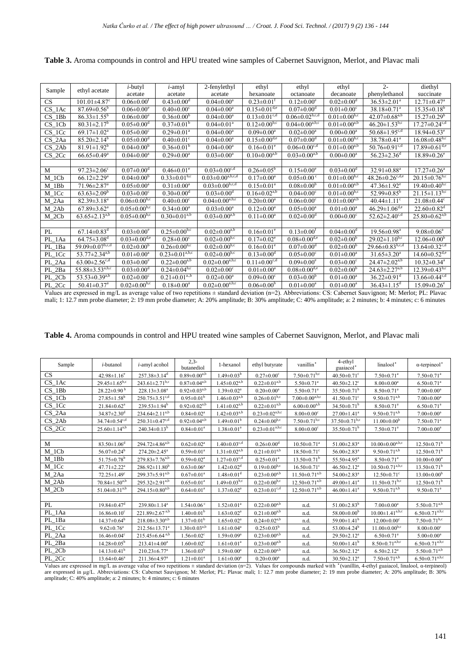**Table 3.** Aroma compounds in control and HPU treated wine samples of Cabernet Sauvignon, Merlot, and Plavac mali

| Sample    | ethyl acetate                     | <i>i</i> -butyl                | <i>i</i> -amyl                 | 2-fenylethyl                                 | ethyl                          | ethyl                            | ethyl                          | $2 -$                             | diethyl                         |
|-----------|-----------------------------------|--------------------------------|--------------------------------|----------------------------------------------|--------------------------------|----------------------------------|--------------------------------|-----------------------------------|---------------------------------|
|           |                                   | acetate                        | acetate                        | acetate                                      | hexanoate                      | octanoate                        | decanoate                      | phenylethanol                     | succinate                       |
| <b>CS</b> | $101.01 \pm 4.87$ <sup>c</sup>    | $0.06 \pm 0.00^{\text{t}}$     | $0.43 \pm 0.00$ <sup>d</sup>   | $0.04 \pm 0.00^a$                            | $0.23 \pm 0.01$ <sup>f</sup>   | $0.12 \pm 0.00^e$                | $0.02 \pm 0.00$ <sup>d</sup>   | $36.53 \pm 2.01^a$                | $12.71 \pm 0.47$ <sup>a</sup>   |
| CS 1Ac    | $87.69 \pm 0.56^{\rm b}$          | $0.06 \pm 0.00^e$              | $0.40 \pm 0.00$ <sup>c</sup>   | $0.04 \pm 0.00^a$                            | $0.15 \pm 0.01$ <sup>d,e</sup> | $0.07 \pm 0.00$ <sup>d</sup>     | $0.01 \pm 0.00$ <sup>c</sup>   | $38.18 \pm 0.71$ <sup>a</sup>     | $15.35 \pm 0.18^b$              |
| $CS$ 1Bb  | $86.33 \pm 1.55^{\circ}$          | $0.06 \pm 0.00^{\circ}$        | $0.36 \pm 0.00^{\circ}$        | $0.04 \pm 0.00$ <sup>a</sup>                 | $0.13 \pm 0.01$ <sup>c,d</sup> | $0.06 \pm 0.02$ <sup>b,c,d</sup> | $0.01 \pm 0.00$ <sub>b,c</sub> | $42.07 \pm 0.68^{\overline{a,b}}$ | $15.27 \pm 0.29^{\circ}$        |
| CS 1Cb    | $80.31 \pm 2.17^b$                | $0.05 \pm 0.00$ <sup>d</sup>   | $0.37 \pm 0.01^{\rm b}$        | $0.04 \pm 0.01$ <sup>a</sup>                 | $0.12 \pm 0.00^{b,c}$          | $0.04 \pm 0.00^{a,b,c}$          | $0.01 \pm 0.00^{a,b}$          | $46.20 \pm 1.53^{b,c}$            | $17.27 \pm 0.24$ <sup>c,d</sup> |
| CS 1Cc    | $69.17 \pm 1.02^a$                | $0.05 \pm 0.00$ <sup>c</sup>   | $0.29 \pm 0.01^a$              | $0.04 \pm 0.00^a$                            | $0.09 \pm 0.00^a$              | $0.02 \pm 0.00^a$                | $0.00 \pm 0.00^a$              | $50.68 \pm 1.95^{c,d}$            | $18.94 \pm 0.53$ <sup>e</sup>   |
| CS 2Aa    | $85.20 \pm 2.14^b$                | $0.05 \pm 0.00$ <sup>d</sup>   | $0.40 \pm 0.01$ <sup>c</sup>   | $0.04 \pm 0.00$ <sup>a</sup>                 | $0.15 \pm 0.00$ <sup>d,e</sup> | $0.07 \pm 0.00$ <sup>d</sup>     | $0.01 \pm 0.00^{b,c}$          | $38.78 \pm 0.41$ <sup>a</sup>     | $16.08 \pm 0.48$ <sub>b,c</sub> |
| $CS_2Ab$  | $81.91 \pm 1.92^b$                | $0.04 \pm 0.00^{\circ}$        | $0.36 \pm 0.01^b$              | $0.04 \pm 0.00^a$                            | $0.16 \pm 0.01$ <sup>e</sup>   | $0.06 \pm 0.00$ <sup>c,d</sup>   | $0.01 \pm 0.00^{a,b}$          | $50.76 \pm 0.91$ <sup>c,d</sup>   | $17.89 \pm 0.61$ <sup>d,e</sup> |
| $CS_2Cc$  | $66.65 \pm 0.49^a$                | $0.04 \pm 0.00^a$              | $0.29 \pm 0.00^a$              | $0.03 \pm 0.00^a$                            | $0.10 \pm 0.00^{a,b}$          | $0.03 \pm 0.00^{a,b}$            | $0.00 \pm 0.00^a$              | $56.23 \pm 2.36$ <sup>d</sup>     | $18.89 \pm 0.26$ <sup>e</sup>   |
|           |                                   |                                |                                |                                              |                                |                                  |                                |                                   |                                 |
| M         | $97.23 \pm 2.06$ <sup>c</sup>     | $0.07 \pm 0.00$ <sup>d</sup>   | $0.46 \pm 0.01$ <sup>e</sup>   | $0.03 \pm 0.00$ <sup>c,d</sup>               | $0.26 \pm 0.05^{\rm b}$        | $0.15 \pm 0.00^e$                | $0.03 \pm 0.00$ <sup>d</sup>   | $32.91 \pm 0.88$ <sup>a</sup>     | $17.27 \pm 0.26^a$              |
| M 1Cb     | $66.12 \pm 2.29$ <sup>a</sup>     | $0.04 \pm 0.00^{\rm b}$        | $0.33 \pm 0.01^{b,c}$          | $0.03 \pm 0.00^{a,b,c,d}$                    | $0.17 \pm 0.00^a$              | $0.05 \pm 0.00$ °                | $0.01 \pm 0.00^{b,c}$          | $48.26 \pm 0.26$ <sup>c,d,e</sup> | $20.15 \pm 0.76$ <sup>b,c</sup> |
| $M_1$ Bb  | $71.96 \pm 2.87$ <sup>a</sup>     | $0.05 \pm 0.00^a$              | $0.31 \pm 0.00^a$              | $0.03 \pm 0.00$ <sup>b,c,d</sup>             | $0.15 \pm 0.01^a$              | $0.08 \pm 0.00^{b}$              | $0.01 \pm 0.00^{a,b}$          | $47.36 \pm 1.92$ <sup>e</sup>     | $19.40\pm 0.40^{b,c}$           |
| M 1Cc     | $63.63 \pm 2.09^{\circ}$          | $0.03 \pm 0.00$ <sup>c</sup>   | $0.30 \pm 0.00$ <sup>d</sup>   | $0.03 \pm 0.00$ <sup>d</sup>                 | $0.16 \pm 0.02$ <sup>a,b</sup> | $0.04 \pm 0.00^{\circ}$          | $0.01 \pm 0.00^{b,c}$          | $52.99 \pm 0.85^{\circ}$          | $21.15 \pm 1.13^{b,c}$          |
| $M_2Aa$   | $82.39 \pm 3.18^a$                | $0.06 \pm 0.00$ <sup>b,c</sup> | $0.40 \pm 0.00$ <sup>c</sup>   | $0.04 \pm 0.00^{a,b,c}$                      | $0.20 \pm 0.00^a$              | $0.06 \pm 0.00^{\circ}$          | $0.01 \pm 0.00^{a,b}$          | $40.44 \pm 1.11$ <sup>c</sup>     | $21.08 \pm 0.44$ °              |
| $M_2Ab$   | $67.89 \pm 3.62^{\mathrm{a}}$     | $0.05 \pm 0.00^{b,c}$          | $0.34 \pm 0.00^a$              | $0.03 \pm 0.00^a$                            | $0.12 \pm 0.00^a$              | $0.05 \pm 0.00^a$                | $0.01 \pm 0.00^a$              | $46.29 \pm 1.06^{d,e}$            | $22.60 \pm 0.82$ <sup>d</sup>   |
| M 2Cb     | $63.65 \pm 2.13^{a,b}$            | $0.05 \pm 0.00$ <sup>b,c</sup> | $0.30 \pm 0.01^{a,b}$          | $0.03 \pm 0.00^{a,b}$                        | $0.11 \pm 0.00^a$              | $0.02 \pm 0.00$ <sup>d</sup>     | $0.00 \pm 0.00$ <sup>c</sup>   | $52.62 \pm 2.40$ <sup>c,d</sup>   | $25.80 \pm 0.62^{a,b}$          |
|           |                                   |                                |                                |                                              |                                |                                  |                                |                                   |                                 |
| PI.       | $67.14 \pm 0.83$ <sup>d</sup>     | $0.03 \pm 0.00^e$              | $0.25 \pm 0.00$ <sup>b,c</sup> | $0.02 \pm 0.00^{a,b}$                        | $0.16 \pm 0.01$ <sup>e</sup>   | $0.13 \pm 0.00$ <sup>f</sup>     | $0.04 \pm 0.00$ <sup>d</sup>   | $19.56 \pm 0.98$ <sup>a</sup>     | $9.08 \pm 0.06^a$               |
| PL_1Aa    | $64.75 \pm 3.08$ <sup>d</sup>     | $0.03 \pm 0.00$ <sup>d,e</sup> | $0.28 \pm 0.00$ <sup>c</sup>   | $0.02 \pm 0.00^{b,c}$                        | $0.17 \pm 0.02$ <sup>e</sup>   | $0.08 \pm 0.00$ <sup>d,e</sup>   | $0.02 \pm 0.00^{\rm b}$        | $29.02 \pm 1.10^{b,c}$            | $12.06 \pm 0.00^{\rm b}$        |
| PL_1Ba    | 59.09±0.07 <sup>b,c,d</sup>       | $0.02 \pm 0.00^b$              | $0.26 \pm 0.00$ <sup>b,c</sup> | $0.02 \pm 0.00$ <sup>b,c</sup>               | $0.16 \pm 0.01$ <sup>e</sup>   | $0.07 \pm 0.00$ <sup>d</sup>     | $0.02 \pm 0.00^b$              | $29.66 \pm 0.83^{b,c,d}$          | $13.64 \pm 0.32$ <sup>c,d</sup> |
| PL 1Cc    | 53.77 $\pm$ 2.34 <sup>a,b</sup>   | $0.01 \pm 0.00^a$              | $0.23 \pm 0.01^{a,b,c}$        | $0.02 \pm 0.00^{b,c}$                        | $0.13 \pm 0.00$ <sup>d</sup>   | $0.05 \pm 0.00$ <sup>c</sup>     | $0.01 \pm 0.00^a$              | $31.65 \pm 3.20^a$                | $14.60 \pm 0.52$ <sup>d,e</sup> |
| PL_2Aa    | $63.00 \pm 2.56$ <sup>c,d</sup>   | $0.03 \pm 0.00^e$              | $0.22 \pm 0.00^{a,b}$          | $0.02 \pm 0.00^{a,b,c}$                      | $0.11 \pm 0.00$ <sup>c,d</sup> | $0.09 \pm 0.00^e$                | $0.03 \pm 0.00$ <sup>c</sup>   | $24.47 \pm 2.02^{a,b}$            | $10.32 \pm 0.34$ <sup>a</sup>   |
| PL 2Ba    | 55.88 $\pm$ 3.53 <sup>a,b,c</sup> | $0.03 \pm 0.00$ <sup>d</sup>   | $0.24 \pm 0.04^{6,c}$          | $0.02 \pm 0.00$ <sup>c</sup>                 | $0.01 \pm 0.00^a$              | $0.08 \pm 0.00$ <sup>d,e</sup>   | $0.02 \pm 0.00^b$              | $24.63 \pm 2.27^{a,b}$            | $12.39 \pm 0.43^{b,c}$          |
| PL 2Cb    | 53.53 $\pm$ 0.39 <sup>a,b</sup>   | $0.02 \pm 0.00$ <sup>c</sup>   | $0.21 \pm 0.01^{a,b}$          | $0.02 \pm 0.00^a$                            | $0.09 \pm 0.00$ <sup>c</sup>   | $0.03 \pm 0.00^{\rm b}$          | $0.01 \pm 0.00^a$              | $36.22 \pm 0.91$ <sup>d</sup>     | $13.66 \pm 0.44$ <sup>c,d</sup> |
| PL_2Cc    | $50.41 \pm 0.37$ <sup>a</sup>     | $0.02 \pm 0.00$ <sup>b,c</sup> | $0.18 \pm 0.00^a$              | $0.02 \pm 0.00^{\text{a},\text{b},\text{c}}$ | $0.06 \pm 0.00^b$              | $0.01 \pm 0.00^a$                | $0.01 \pm 0.00^a$              | $36.43 \pm 1.15$ <sup>d</sup>     | $15.09 \pm 0.26$ <sup>e</sup>   |
|           |                                   |                                |                                |                                              |                                |                                  |                                |                                   |                                 |

Values are expressed in mg/L as average value of two repetitions ± standard deviation (n=2). Abbreviations: CS: Cabernet Sauvignon; M: Merlot; PL: Plavac mali; 1: 12.7 mm probe diameter; 2: 19 mm probe diameter; A: 20% amplitude; B: 30% amplitude; C: 40% amplitude; a: 2 minutes; b: 4 minutes; c: 6 minutes

|  |  |  |  |  | Table 4. Aroma compounds in control and HPU treated wine samples of Cabernet Sauvignon, Merlot, and Plavac mali |
|--|--|--|--|--|-----------------------------------------------------------------------------------------------------------------|
|--|--|--|--|--|-----------------------------------------------------------------------------------------------------------------|

| Sample                                                                                                                                                                                         | <i>i</i> -butanol               | <i>i</i> -amyl acohol            | $2,3-$<br>butanediol         | 1-hexanol                      | ethyl butyrate                   | vanillin*                      | 4-ethyl<br>guaiacol <sup>*</sup> | linalool*                                     | $\alpha$ -terpineol <sup>*</sup>             |  |
|------------------------------------------------------------------------------------------------------------------------------------------------------------------------------------------------|---------------------------------|----------------------------------|------------------------------|--------------------------------|----------------------------------|--------------------------------|----------------------------------|-----------------------------------------------|----------------------------------------------|--|
| <b>CS</b>                                                                                                                                                                                      | $42.98 \pm 1.16^e$              | $257.38 \pm 3.14$ <sup>d</sup>   | $0.89 \pm 0.00^{a,b}$        | $1.49 \pm 0.03^b$              | $0.27 \pm 0.00$ <sup>c</sup>     | $7.50 \pm 0.71$ <sup>b,c</sup> | 40.50 $\pm$ 0.71 $\rm{^c}$       | $7.50 \pm 0.71$ <sup>a</sup>                  | $7.50 \pm 0.71$ <sup>a</sup>                 |  |
| CS 1Ac                                                                                                                                                                                         | $29.45 \pm 1.65^{b,c}$          | $243.61 \pm 2.71$ <sup>b,c</sup> | $0.87 \pm 0.04^{a,b}$        | $1.45 \pm 0.02^{a,b}$          | $0.22 \pm 0.01^{a,b}$            | $5.50 \pm 0.71$ <sup>a</sup>   | 40.50 $\pm$ 2.12 <sup>c</sup>    | $8.00 \pm 0.00^a$                             | $6.50 \pm 0.71$ <sup>a</sup>                 |  |
| $CS$ 1Bb                                                                                                                                                                                       | $28.22 \pm 0.90^{\mathrm{b}}$   | $228.13 \pm 3.08^a$              | $0.92 \pm 0.03^{a,b}$        | $1.39 \pm 0.02^a$              | $0.20 \pm 0.00^a$                | $5.50 \pm 0.71$ <sup>a</sup>   | $35.50 \pm 0.71^b$               | $8.50 \pm 0.71$ <sup>a</sup>                  | $7.00 \pm 0.00^a$                            |  |
| CS 1Cb                                                                                                                                                                                         | $27.85 \pm 1.58^b$              | $250.75 \pm 3.51^{\text{c,d}}$   | $0.95 \pm 0.01^{\rm b}$      | $1.46 \pm 0.03^{a,b}$          | $0.26 \pm 0.01$ <sup>b,c</sup>   | $7.00 \pm 0.00^{a,b,c}$        | 41.50 $\pm$ 0.71 $\rm{^c}$       | 9.50 $\pm$ 0.71 <sup>a,b</sup>                | $7.00 \pm 0.00^a$                            |  |
| CS 1Cc                                                                                                                                                                                         | $21.84 \pm 0.62$ <sup>a</sup>   | $239.53 \pm 1.94^b$              | $0.92 \pm 0.02^{a,b}$        | $1.41 \pm 0.02^{a,b}$          | $0.22 \pm 0.01^{a,b}$            | $6.00 \pm 0.00^{a,b}$          | $34.50 \pm 0.71^{\rm b}$         | $8.50 \pm 0.71$ <sup>a</sup>                  | $6.50 \pm 0.71$ <sup>a</sup>                 |  |
| $CS_2Aa$                                                                                                                                                                                       | $34.87 \pm 2.30$ <sup>d</sup>   | $234.64 \pm 2.11^{a,b}$          | $0.84 \pm 0.02^a$            | $1.42 \pm 0.03^{a,b}$          | $0.23 \pm 0.02$ <sup>a,b,c</sup> | $8.00 \pm 0.00$ <sup>c</sup>   | $27.00 \pm 1.41$ <sup>a</sup>    | $9.50 \pm 0.71^{a,b}$                         | $7.00 \pm 0.00^a$                            |  |
| $CS_2Ab$                                                                                                                                                                                       | $34.74 \pm 0.54$ <sup>c,d</sup> | $250.31 \pm 0.47$ <sup>c,d</sup> | $0.92 \pm 0.04^{a,b}$        | $1.49 \pm 0.01^{\rm b}$        | $0.24 \pm 0.00$ <sup>b,c</sup>   | $7.50 \pm 0.71$ <sup>b,c</sup> | $37.50 \pm 0.71$ <sup>b,c</sup>  | $11.00 \pm 0.00^b$                            | $7.50 \pm 0.71$ <sup>a</sup>                 |  |
| $CS_2Cc$                                                                                                                                                                                       | $25.60 \pm 1.14^{a,b}$          | $240.34 \pm 0.13^b$              | $0.84 \pm 0.01^a$            | $1.38 \pm 0.01^a$              | $0.23 \pm 0.01^{a,b,c}$          | $8.00 \pm 0.00$ <sup>c</sup>   | $35.50 \pm 0.71^b$               | $7.50 \pm 0.71$ <sup>a</sup>                  | $7.00 \pm 0.00^a$                            |  |
|                                                                                                                                                                                                |                                 |                                  |                              |                                |                                  |                                |                                  |                                               |                                              |  |
| M                                                                                                                                                                                              | $83.50 \pm 1.06$ <sup>d</sup>   | 294.72±4.86 <sup>a,b</sup>       | $0.62 \pm 0.02^a$            | $1.40 \pm 0.03$ <sup>c,d</sup> | $0.26 \pm 0.00$ <sup>d</sup>     | $10.50 \pm 0.71$ <sup>a</sup>  | $51.00 \pm 2.83$ <sup>a</sup>    | $10.00 \pm 0.00^{a,b,c}$                      | $12.50 \pm 0.71^{\rm b}$                     |  |
| $M_1Cb$                                                                                                                                                                                        | $56.07 \pm 0.24^b$              | $274.20 \pm 2.45^a$              | $0.59 \pm 0.01^a$            | $1.31 \pm 0.02^{a,b}$          | $0.21 \pm 0.01^{a,b}$            | $18.50 \pm 0.71$ <sup>c</sup>  | $56.00 \pm 2.83$ <sup>a</sup>    | $9.50 \pm 0.71^{a,b}$                         | $12.50 \pm 0.71^{\rm b}$                     |  |
| M 1Bb                                                                                                                                                                                          | $51.75 \pm 0.78$ <sup>b</sup>   | $279.83 \pm 7.76^{a,b}$          | $0.59 \pm 0.02^a$            | $1.27 \pm 0.03$ <sup>c,d</sup> | $0.25 \pm 0.01^a$                | $13.50 \pm 0.71^{\mathrm{b}}$  | $55.50 \pm 4.95^{\text{a}}$      | $8.50 \pm 0.71$ <sup>a</sup>                  | $10.00 \pm 0.00^a$                           |  |
| M 1Cc                                                                                                                                                                                          | $47.71 \pm 2.22^a$              | $286.92 \pm 11.80^b$             | $0.63 \pm 0.06^a$            | $1.42 \pm 0.02$ <sup>d</sup>   | $0.19 \pm 0.00$ <sup>b,c</sup>   | $16.50 \pm 0.71$ °             | $46.50 \pm 2.12^a$               | $10.50 \pm 0.71^{a,b,c}$                      | $13.50 \pm 0.71^b$                           |  |
| M_2Aa                                                                                                                                                                                          | $72.25 \pm 1.49$ <sup>c</sup>   | 299.37 $\pm$ 5.91 <sup>a,b</sup> | $0.67 \pm 0.01^a$            | $1.48 \pm 0.01$ <sup>d</sup>   | $0.23 \pm 0.00^{a,b}$            | $11.50 \pm 0.71^{a,b}$         | 54.00 $\pm$ 2.83 <sup>a</sup>    | $12.50 \pm 0.71$ <sup>c</sup>                 | $13.00 \pm 0.00^{\rm b}$                     |  |
| $M_2Ab$                                                                                                                                                                                        | $70.84 \pm 1.50^{a,b}$          | $295.32 \pm 2.91^{a,b}$          | $0.65 \pm 0.01^a$            | $1.49 \pm 0.03^{b,c}$          | $0.22 \pm 0.00^{b,c}$            | $12.50 \pm 0.71^{a,b}$         | $49.00 \pm 1.41$ <sup>a</sup>    | $11.50 \pm 0.71$ <sup>b,c</sup>               | $12.50 \pm 0.71^b$                           |  |
| M 2Cb                                                                                                                                                                                          | $51.04 \pm 0.31^{a,b}$          | 294.15 $\pm$ 0.80 <sup>a,b</sup> | $0.64 \pm 0.01^a$            | $1.37 \pm 0.02^a$              | $0.23 \pm 0.01$ <sup>c,d</sup>   | $12.50 \pm 0.71^{a,b}$         | $46.00 \pm 1.41^a$               | $9.50 \pm 0.71^{a,b}$                         | $9.50 \pm 0.71$ <sup>a</sup>                 |  |
|                                                                                                                                                                                                |                                 |                                  |                              |                                |                                  |                                |                                  |                                               |                                              |  |
| PL                                                                                                                                                                                             | $19.84 \pm 0.47$ <sup>d</sup>   | $239.80 \pm 1.14^a$              | $1.54 \pm 0.06$ <sup>c</sup> | $1.52 \pm 0.01^a$              | $0.22 \pm 0.00^{a,b}$            | n.d.                           | $51.00 \pm 2.83^b$               | $7.00 \pm 0.00^a$                             | $5.50 \pm 0.71^{a,b}$                        |  |
| PL_1Aa                                                                                                                                                                                         | $16.86 \pm 0.10^c$              | 221.89±2.67 <sup>a,b</sup>       | $1.40 \pm 0.01^b$            | $1.63 \pm 0.02^a$              | $0.21 \pm 0.00^{a,b}$            | n.d.                           | $58.00 \pm 0.00^{\rm b}$         | $10.00 \pm 1.41^{\text{a},\text{b},\text{c}}$ | $6.50 \pm 0.71^{\text{a},\text{b},\text{c}}$ |  |
| PL 1Ba                                                                                                                                                                                         | $14.37 \pm 0.64^b$              | $218.08 \pm 3.30^{a,b}$          | $1.37 \pm 0.01^{\rm b}$      | $1.65 \pm 0.02^a$              | $0.24 \pm 0.02$ <sup>a,b</sup>   | n.d.                           | $59.00 \pm 1.41^b$               | $12.00 \pm 0.00$ <sup>c</sup>                 | $7.50\pm0.71^{b,c}$                          |  |
| PL 1Cc                                                                                                                                                                                         | $9.62 \pm 0.76^a$               | $212.56 \pm 13.71^a$             | $1.30 \pm 0.03^{a,b}$        | $1.61 \pm 0.04^a$              | $0.25 \pm 0.03^b$                | n.d.                           | 53.00 $\pm$ 4.24 <sup>b</sup>    | $11.00 \pm 0.00$ <sup>b,c</sup>               | $8.00 \pm 0.00$ <sup>c</sup>                 |  |
| PL_2Aa                                                                                                                                                                                         | $16.46 \pm 0.04$ <sup>c</sup>   | $215.45 \pm 6.64$ <sup>a,b</sup> | $1.56 \pm 0.02$ <sup>c</sup> | $1.59 \pm 0.09^a$              | $0.23 \pm 0.00^{a,b}$            | n.d.                           | $29.50 \pm 2.12^a$               | $6.50 \pm 0.71$ <sup>a</sup>                  | $5.00 \pm 0.00^a$                            |  |
| PL 2Ba                                                                                                                                                                                         | $14.28 \pm 0.05^{\rm b}$        | $213.41 \pm 4.00^a$              | $1.60 \pm 0.02$ <sup>c</sup> | $1.61 \pm 0.01^a$              | $0.23 \pm 0.00^{a,b}$            | n.d.                           | $50.00 \pm 1.41^b$               | $8.50 \pm 0.71^{a,b,c}$                       | $6.50 \pm 0.71^{a,b,c}$                      |  |
| PL 2Cb                                                                                                                                                                                         | $14.13 \pm 0.41^b$              | $210.23 \pm 6.77$ <sup>a</sup>   | $1.36 \pm 0.03^b$            | $1.59 \pm 0.00^a$              | $0.22 \pm 0.00^{a,b}$            | n.d.                           | $36.50 \pm 2.12^a$               | $6.50 \pm 2.12$ <sup>a</sup>                  | $5.50 \pm 0.71^{a,b}$                        |  |
| PL 2Cc                                                                                                                                                                                         | $13.64 \pm 0.46^a$              | $211.36 \pm 4.97$ <sup>a</sup>   | $1.21 \pm 0.01^a$            | $1.61 \pm 0.00^a$              | $0.20 \pm 0.00^a$                | n.d.                           | $30.50 \pm 2.12^a$               | $7.50 \pm 0.71^{a,b}$                         | $6.50 \pm 0.71^{a,b,c}$                      |  |
| Values are expressed in mg/L as average value of two repetitions $\pm$ standard deviation (n=2). Values for compounds marked with "(vanillin, 4-ethyl guaiacol, linalool, $\alpha$ -terpineol) |                                 |                                  |                              |                                |                                  |                                |                                  |                                               |                                              |  |

are expressed in µg/L. Abbreviations: CS: Cabernet Sauvignon; M: Merlot; PL: Plavac mali; 1: 12.7 mm probe diameter; 2: 19 mm probe diameter; A: 20% amplitude; B: 30% amplitude; C: 40% amplitude; a: 2 minutes; b: 4 minutes; c: 6 minutes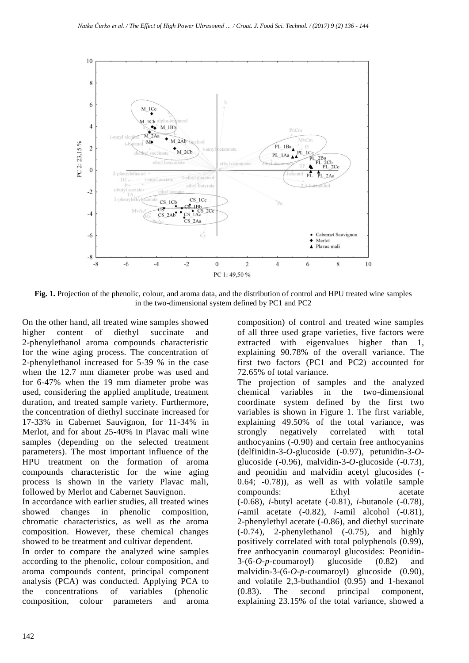

**Fig. 1.** Projection of the phenolic, colour, and aroma data, and the distribution of control and HPU treated wine samples in the two-dimensional system defined by PC1 and PC2

On the other hand, all treated wine samples showed higher content of diethyl succinate and 2-phenylethanol aroma compounds characteristic for the wine aging process. The concentration of 2-phenylethanol increased for 5-39 % in the case when the 12.7 mm diameter probe was used and for 6-47% when the 19 mm diameter probe was used, considering the applied amplitude, treatment duration, and treated sample variety. Furthermore, the concentration of diethyl succinate increased for 17-33% in Cabernet Sauvignon, for 11-34% in Merlot, and for about 25-40% in Plavac mali wine samples (depending on the selected treatment parameters). The most important influence of the HPU treatment on the formation of aroma compounds characteristic for the wine aging process is shown in the variety Plavac mali, followed by Merlot and Cabernet Sauvignon.

In accordance with earlier studies, all treated wines showed changes in phenolic composition, chromatic characteristics, as well as the aroma composition. However, these chemical changes showed to be treatment and cultivar dependent.

In order to compare the analyzed wine samples according to the phenolic, colour composition, and aroma compounds content, principal component analysis (PCA) was conducted. Applying PCA to the concentrations of variables (phenolic composition, colour parameters and aroma

composition) of control and treated wine samples of all three used grape varieties, five factors were extracted with eigenvalues higher than 1, explaining 90.78% of the overall variance. The first two factors (PC1 and PC2) accounted for 72.65% of total variance.

The projection of samples and the analyzed chemical variables in the two-dimensional coordinate system defined by the first two variables is shown in Figure 1. The first variable, explaining 49.50% of the total variance, was strongly negatively correlated with total anthocyanins (-0.90) and certain free anthocyanins (delfinidin-3-*O*-glucoside (-0.97), petunidin-3-*O*glucoside (-0.96), malvidin-3-*O*-glucoside (-0.73), and peonidin and malvidin acetyl glucosides (- 0.64; -0.78)), as well as with volatile sample compounds: Ethyl acetate (-0.68), *i-*butyl acetate (-0.81), *i*-butanole (-0.78), *i*-amil acetate (-0.82), *i-*amil alcohol (-0.81), 2-phenylethyl acetate (-0.86), and diethyl succinate  $(-0.74)$ , 2-phenylethanol  $(-0.75)$ , and highly positively correlated with total polyphenols (0.99), free anthocyanin coumaroyl glucosides: Peonidin-3-(6-*O-p*-coumaroyl) glucoside (0.82) and malvidin-3-(6-*O-p*-coumaroyl) glucoside (0.90), and volatile 2,3-buthandiol (0.95) and 1-hexanol (0.83). The second principal component, explaining 23.15% of the total variance, showed a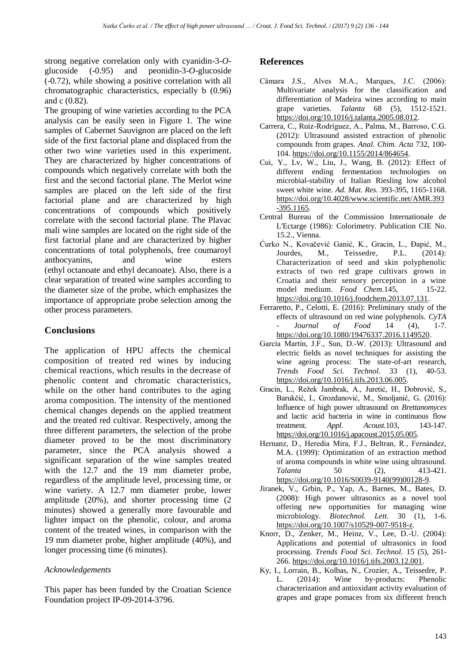strong negative correlation only with cyanidin-3-*O*glucoside (-0.95) and peonidin-3-*O*-glucoside (-0.72), while showing a positive correlation with all chromatographic characteristics, especially b (0.96) and c (0.82).

The grouping of wine varieties according to the PCA analysis can be easily seen in Figure 1. The wine samples of Cabernet Sauvignon are placed on the left side of the first factorial plane and displaced from the other two wine varieties used in this experiment. They are characterized by higher concentrations of compounds which negatively correlate with both the first and the second factorial plane. The Merlot wine samples are placed on the left side of the first factorial plane and are characterized by high concentrations of compounds which positively correlate with the second factorial plane. The Plavac mali wine samples are located on the right side of the first factorial plane and are characterized by higher concentrations of total polyphenols, free coumaroyl anthocyanins, and wine esters (ethyl octanoate and ethyl decanoate). Also, there is a clear separation of treated wine samples according to the diameter size of the probe, which emphasizes the importance of appropriate probe selection among the other process parameters.

# **Conclusions**

The application of HPU affects the chemical composition of treated red wines by inducing chemical reactions, which results in the decrease of phenolic content and chromatic characteristics, while on the other hand contributes to the aging aroma composition. The intensity of the mentioned chemical changes depends on the applied treatment and the treated red cultivar. Respectively, among the three different parameters, the selection of the probe diameter proved to be the most discriminatory parameter, since the PCA analysis showed a significant separation of the wine samples treated with the 12.7 and the 19 mm diameter probe, regardless of the amplitude level, processing time, or wine variety. A 12.7 mm diameter probe, lower amplitude (20%), and shorter processing time (2 minutes) showed a generally more favourable and lighter impact on the phenolic, colour, and aroma content of the treated wines, in comparison with the 19 mm diameter probe, higher amplitude (40%), and longer processing time (6 minutes).

### *Acknowledgements*

This paper has been funded by the Croatian Science Foundation project IP-09-2014-3796.

### **References**

- Câmara J.S., Alves M.A., Marques, J.C. (2006): Multivariate analysis for the classification and differentiation of Madeira wines according to main grape varieties. *Talanta* 68 (5), 1512-1521. [https://doi.org/10.1016/j.talanta.2005.08.012.](https://doi.org/10.1016/j.talanta.2005.08.012)
- Carrera, C., Ruiz-Rodríguez, A., Palma, M., Barroso, C.G. (2012): Ultrasound assisted extraction of phenolic compounds from grapes. *Anal. Chim. Acta* 732, 100- 104. [https://doi.org/10.1155/2014/864654.](https://doi.org/10.1155/2014/864654)
- Cui, Y., Lv, W., Liu, J., Wang, B. (2012): Effect of different ending fermentation technologies on microbial-stability of Italian Riesling low alcohol sweet white wine. *Ad. Mat. Res.* 393-395, 1165-1168. [https://doi.org/10.4028/www.scientific.net/AMR.393](https://doi.org/10.4028/www.scientific.net/AMR.393-395.1165) [-395.1165.](https://doi.org/10.4028/www.scientific.net/AMR.393-395.1165)
- Central Bureau of the Commission Internationale de L'Ectarge (1986): Colorimetry. Publication CIE No. 15.2., Vienna.
- Ćurko N., Kovačević Ganić, K., Gracin, L., Đapić, M., Jourdes, M., Teissedre, P.L. (2014): Characterization of seed and skin polyphenolic extracts of two red grape cultivars grown in Croatia and their sensory perception in a wine model medium. *Food Chem.*145, 15-22. [https://doi.org/10.1016/j.foodchem.2013.07.131.](https://doi.org/10.1016/j.foodchem.2013.07.131)
- Ferraretto, P., Celotti, E. (2016): Preliminary study of the effects of ultrasound on red wine polyphenols. *CyTA - Journal of Food* 14 (4), 1-7. [https://doi.org/10.1080/19476337.2016.1149520.](https://doi.org/10.1080/19476337.2016.1149520)
- García Martín, J.F., Sun, D.-W. (2013): Ultrasound and electric fields as novel techniques for assisting the wine ageing process: The state-of-art research, *Trends Food Sci. Technol.* 33 (1), 40-53. [https://doi.org/10.1016/j.tifs.2013.06.005.](https://doi.org/10.1016/j.tifs.2013.06.005)
- Gracin, L., Režek Jambrak, A., Juretić, H., Dobrović, S., Barukčić, I., Grozdanović, M., Smoljanić, G. (2016): Influence of high power ultrasound on *Brettanomyces* and lactic acid bacteria in wine in continuous flow treatment. *Appl. Acoust.*103, 143-147. [https://doi.org/10.1016/j.apacoust.2015.05.005.](https://doi.org/10.1016/j.apacoust.2015.05.005)
- Hernanz, D., Heredia Mira, F.J., Beltran, R., Fernández, M.A. (1999): Optimization of an extraction method of aroma compounds in white wine using ultrasound. *Talanta* 50 (2), 413-421. [https://doi.org/10.1016/S0039-9140\(99\)00128-9.](https://doi.org/10.1016/S0039-9140(99)00128-9)
- Jiranek, V., Grbin, P., Yap, A., Barnes, M., Bates, D. (2008): High power ultrasonics as a novel tool offering new opportunities for managing wine microbiology. *Biotechnol. Lett.* 30 (1), 1-6. [https://doi.org/10.1007/s10529-007-9518-z.](https://doi.org/10.1007/s10529-007-9518-z)
- Knorr, D., Zenker, M., Heinz, V., Lee, D.-U. (2004): Applications and potential of ultrasonics in food processing. *Trends Food Sci. Technol.* 15 (5), 261- 266. [https://doi.org/10.1016/j.tifs.2003.12.001.](https://doi.org/10.1016/j.tifs.2003.12.001)
- Ky, I., Lorrain, B., Kolbas, N., Crozier, A., Teissedre, P. L. (2014): Wine by-products: Phenolic characterization and antioxidant activity evaluation of grapes and grape pomaces from six different french